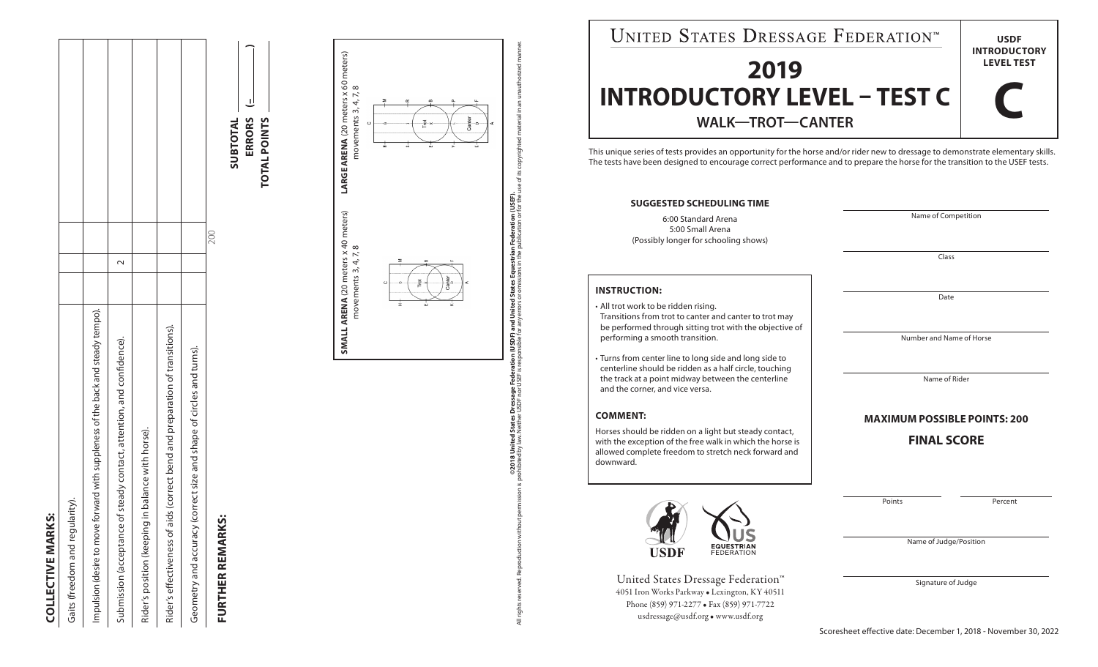| í.<br>í |
|---------|
|         |
|         |
|         |
|         |
|         |
|         |
|         |
|         |
|         |

| <b>COLLECTIVE MARKS:</b>                                                         |  |  |
|----------------------------------------------------------------------------------|--|--|
| Gaits (freedom and regularity                                                    |  |  |
| Impulsion (desire to move forward with suppleness of the back and steady tempo). |  |  |
| Submission (acceptance of steady contact, attention, and confidence).            |  |  |
| Rider's position (keeping in balance with horse).                                |  |  |
| Rider's effectiveness of aids (correct bend and preparation of transitions).     |  |  |
| Geometry and accuracy (correct size and shape of circles and turns).             |  |  |

## **FURTHER REMARKS: FURTHER REMARKS:**



200



**©2018 United States Dressage Federation (USDF) and United States Equestrian Federation (USEF).** All rights reserved. Reproduction without permission is prohibited by law. Neither USDF nor USEF is responsible for any errors or omissions in the publication or for the use of its copyrighted material in an unauthorized m

ي.

 $\overline{z}$ 

©2018 United States Dressage Federation (USDF) and United States Equestrian Federation (USEF).<br>cohbited by law. Neither USDF nor USEF is responsible for any errors or omissions in the publication or for the use of its

<u>គ</u> ユ.

 $\overline{\pi}$ 

 $\bar{x}$ 

| UNITED STATES DRESSAGE FEDERATIONT                                                                                                                                                                                                                               | <b>USDF</b>                              |         |  |  |  |  |
|------------------------------------------------------------------------------------------------------------------------------------------------------------------------------------------------------------------------------------------------------------------|------------------------------------------|---------|--|--|--|--|
| 2019                                                                                                                                                                                                                                                             | <b>INTRODUCTORY</b><br><b>LEVEL TEST</b> |         |  |  |  |  |
| <b>INTRODUCTORY LEVEL - TEST C</b><br><b>WALK-TROT-CANTER</b>                                                                                                                                                                                                    |                                          |         |  |  |  |  |
| This unique series of tests provides an opportunity for the horse and/or rider new to dressage to demonstrate elementary skills.<br>The tests have been designed to encourage correct performance and to prepare the horse for the transition to the USEF tests. |                                          |         |  |  |  |  |
| <b>SUGGESTED SCHEDULING TIME</b>                                                                                                                                                                                                                                 |                                          |         |  |  |  |  |
| 6:00 Standard Arena<br>5:00 Small Arena<br>(Possibly longer for schooling shows)                                                                                                                                                                                 | Name of Competition                      |         |  |  |  |  |
|                                                                                                                                                                                                                                                                  | Class                                    |         |  |  |  |  |
| <b>INSTRUCTION:</b><br>• All trot work to be ridden rising.<br>Transitions from trot to canter and canter to trot may                                                                                                                                            | Date                                     |         |  |  |  |  |
| be performed through sitting trot with the objective of<br>performing a smooth transition.                                                                                                                                                                       | Number and Name of Horse                 |         |  |  |  |  |
| • Turns from center line to long side and long side to<br>centerline should be ridden as a half circle, touching<br>the track at a point midway between the centerline<br>and the corner, and vice versa.                                                        | Name of Rider                            |         |  |  |  |  |
| <b>COMMENT:</b>                                                                                                                                                                                                                                                  | <b>MAXIMUM POSSIBLE POINTS: 200</b>      |         |  |  |  |  |
| Horses should be ridden on a light but steady contact,<br>with the exception of the free walk in which the horse is<br>allowed complete freedom to stretch neck forward and<br>downward.                                                                         | <b>FINAL SCORE</b>                       |         |  |  |  |  |
|                                                                                                                                                                                                                                                                  | Points                                   | Percent |  |  |  |  |
| USDF                                                                                                                                                                                                                                                             | Name of Judge/Position                   |         |  |  |  |  |
| United States Dressage Federation™<br>4051 Iron Works Parkway . Lexington, KY 40511<br>Phone (859) 971-2277 • Fax (859) 971-7722<br>usdressage@usdf.org . www.usdf.org                                                                                           | Signature of Judge                       |         |  |  |  |  |